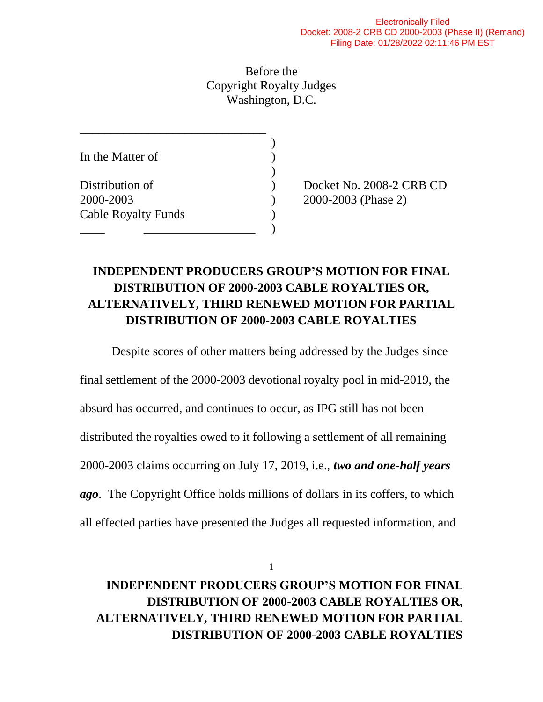Before the Copyright Royalty Judges Washington, D.C.

| In the Matter of           |  |
|----------------------------|--|
| Distribution of            |  |
| 2000-2003                  |  |
| <b>Cable Royalty Funds</b> |  |
|                            |  |

\_\_\_\_\_\_\_\_\_\_\_\_\_\_\_\_\_\_\_\_\_\_\_\_\_\_\_\_\_\_

Docket No. 2008-2 CRB CD 2000-2003 (Phase 2)

## **INDEPENDENT PRODUCERS GROUP'S MOTION FOR FINAL DISTRIBUTION OF 2000-2003 CABLE ROYALTIES OR, ALTERNATIVELY, THIRD RENEWED MOTION FOR PARTIAL DISTRIBUTION OF 2000-2003 CABLE ROYALTIES**

Despite scores of other matters being addressed by the Judges since final settlement of the 2000-2003 devotional royalty pool in mid-2019, the absurd has occurred, and continues to occur, as IPG still has not been distributed the royalties owed to it following a settlement of all remaining 2000-2003 claims occurring on July 17, 2019, i.e., *two and one-half years ago*. The Copyright Office holds millions of dollars in its coffers, to which all effected parties have presented the Judges all requested information, and

1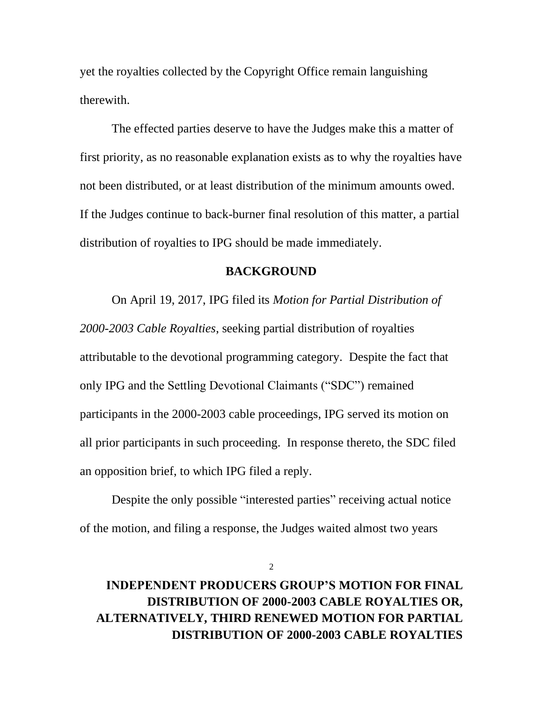yet the royalties collected by the Copyright Office remain languishing therewith.

The effected parties deserve to have the Judges make this a matter of first priority, as no reasonable explanation exists as to why the royalties have not been distributed, or at least distribution of the minimum amounts owed. If the Judges continue to back-burner final resolution of this matter, a partial distribution of royalties to IPG should be made immediately.

#### **BACKGROUND**

On April 19, 2017, IPG filed its *Motion for Partial Distribution of 2000-2003 Cable Royalties*, seeking partial distribution of royalties attributable to the devotional programming category. Despite the fact that only IPG and the Settling Devotional Claimants ("SDC") remained participants in the 2000-2003 cable proceedings, IPG served its motion on all prior participants in such proceeding. In response thereto, the SDC filed an opposition brief, to which IPG filed a reply.

Despite the only possible "interested parties" receiving actual notice of the motion, and filing a response, the Judges waited almost two years

2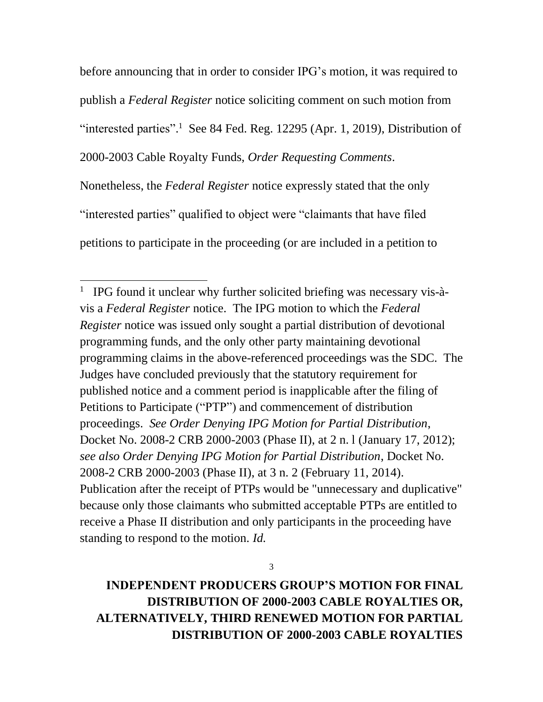before announcing that in order to consider IPG's motion, it was required to publish a *Federal Register* notice soliciting comment on such motion from "interested parties".<sup>1</sup> See 84 Fed. Reg. 12295 (Apr. 1, 2019), Distribution of 2000-2003 Cable Royalty Funds, *Order Requesting Comments*. Nonetheless, the *Federal Register* notice expressly stated that the only "interested parties" qualified to object were "claimants that have filed petitions to participate in the proceeding (or are included in a petition to

3

<sup>&</sup>lt;sup>1</sup> IPG found it unclear why further solicited briefing was necessary vis-àvis a *Federal Register* notice. The IPG motion to which the *Federal Register* notice was issued only sought a partial distribution of devotional programming funds, and the only other party maintaining devotional programming claims in the above-referenced proceedings was the SDC. The Judges have concluded previously that the statutory requirement for published notice and a comment period is inapplicable after the filing of Petitions to Participate ("PTP") and commencement of distribution proceedings. *See Order Denying IPG Motion for Partial Distribution*, Docket No. 2008-2 CRB 2000-2003 (Phase II), at 2 n. l (January 17, 2012); *see also Order Denying IPG Motion for Partial Distribution*, Docket No. 2008-2 CRB 2000-2003 (Phase II), at 3 n. 2 (February 11, 2014). Publication after the receipt of PTPs would be "unnecessary and duplicative" because only those claimants who submitted acceptable PTPs are entitled to receive a Phase II distribution and only participants in the proceeding have standing to respond to the motion. *Id.*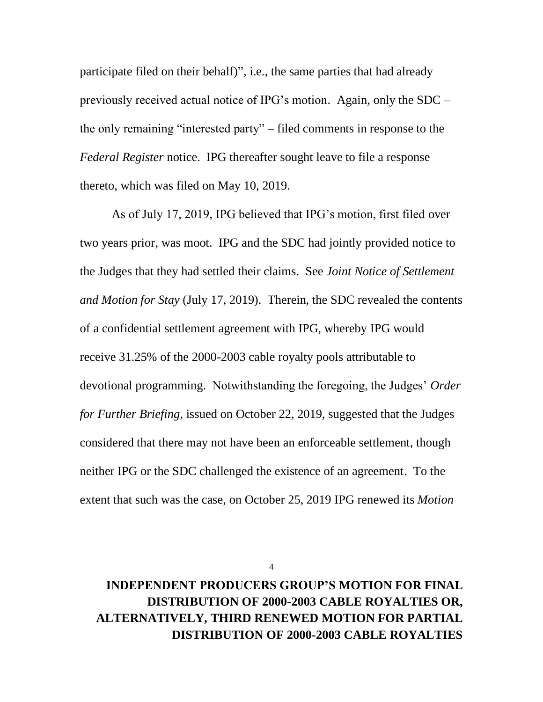participate filed on their behalf)", i.e., the same parties that had already previously received actual notice of IPG's motion. Again, only the SDC – the only remaining "interested party" – filed comments in response to the *Federal Register* notice. IPG thereafter sought leave to file a response thereto, which was filed on May 10, 2019.

As of July 17, 2019, IPG believed that IPG's motion, first filed over two years prior, was moot. IPG and the SDC had jointly provided notice to the Judges that they had settled their claims. See *Joint Notice of Settlement and Motion for Stay* (July 17, 2019). Therein, the SDC revealed the contents of a confidential settlement agreement with IPG, whereby IPG would receive 31.25% of the 2000-2003 cable royalty pools attributable to devotional programming. Notwithstanding the foregoing, the Judges' *Order for Further Briefing*, issued on October 22, 2019, suggested that the Judges considered that there may not have been an enforceable settlement, though neither IPG or the SDC challenged the existence of an agreement. To the extent that such was the case, on October 25, 2019 IPG renewed its *Motion* 

4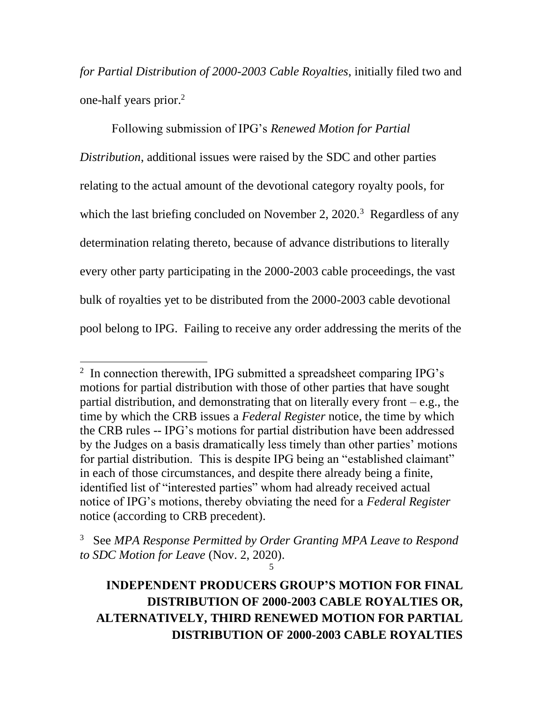*for Partial Distribution of 2000-2003 Cable Royalties*, initially filed two and one-half years prior. 2

Following submission of IPG's *Renewed Motion for Partial Distribution*, additional issues were raised by the SDC and other parties relating to the actual amount of the devotional category royalty pools, for which the last briefing concluded on November 2,  $2020$ .<sup>3</sup> Regardless of any determination relating thereto, because of advance distributions to literally every other party participating in the 2000-2003 cable proceedings, the vast bulk of royalties yet to be distributed from the 2000-2003 cable devotional pool belong to IPG. Failing to receive any order addressing the merits of the

<sup>&</sup>lt;sup>2</sup> In connection therewith, IPG submitted a spreadsheet comparing IPG's motions for partial distribution with those of other parties that have sought partial distribution, and demonstrating that on literally every front  $-e.g.,$  the time by which the CRB issues a *Federal Register* notice, the time by which the CRB rules -- IPG's motions for partial distribution have been addressed by the Judges on a basis dramatically less timely than other parties' motions for partial distribution. This is despite IPG being an "established claimant" in each of those circumstances, and despite there already being a finite, identified list of "interested parties" whom had already received actual notice of IPG's motions, thereby obviating the need for a *Federal Register* notice (according to CRB precedent).

<sup>5</sup> 3 See *MPA Response Permitted by Order Granting MPA Leave to Respond to SDC Motion for Leave* (Nov. 2, 2020).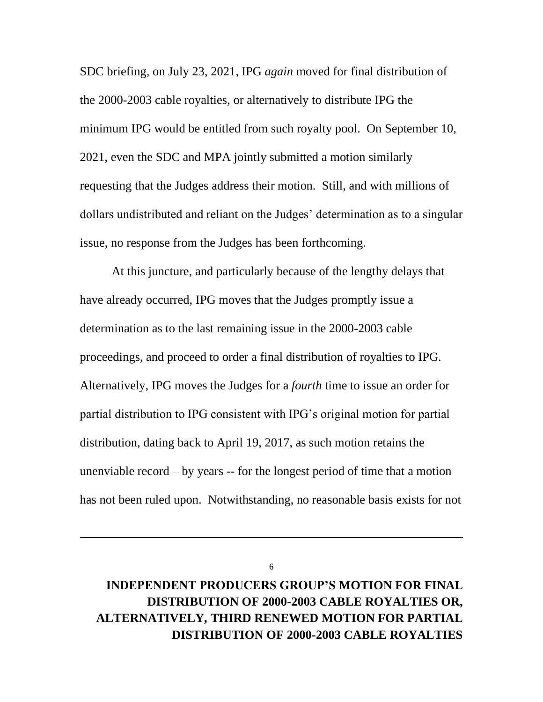SDC briefing, on July 23, 2021, IPG *again* moved for final distribution of the 2000-2003 cable royalties, or alternatively to distribute IPG the minimum IPG would be entitled from such royalty pool. On September 10, 2021, even the SDC and MPA jointly submitted a motion similarly requesting that the Judges address their motion. Still, and with millions of dollars undistributed and reliant on the Judges' determination as to a singular issue, no response from the Judges has been forthcoming.

At this juncture, and particularly because of the lengthy delays that have already occurred, IPG moves that the Judges promptly issue a determination as to the last remaining issue in the 2000-2003 cable proceedings, and proceed to order a final distribution of royalties to IPG. Alternatively, IPG moves the Judges for a *fourth* time to issue an order for partial distribution to IPG consistent with IPG's original motion for partial distribution, dating back to April 19, 2017, as such motion retains the unenviable record – by years -- for the longest period of time that a motion has not been ruled upon. Notwithstanding, no reasonable basis exists for not

6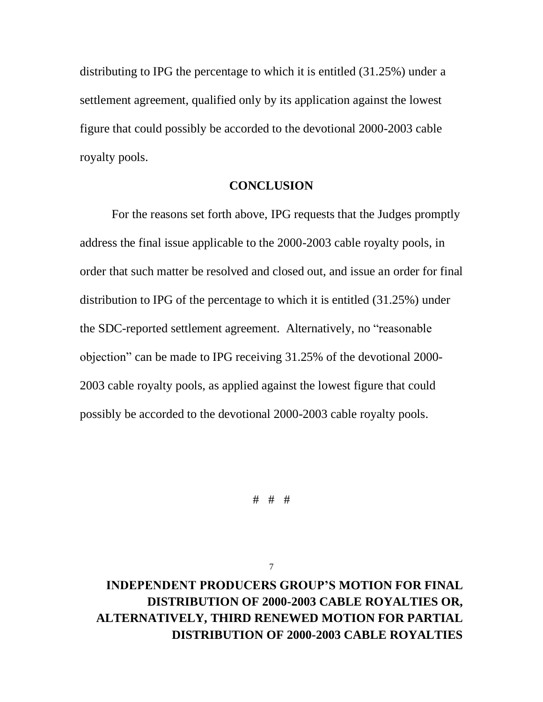distributing to IPG the percentage to which it is entitled (31.25%) under a settlement agreement, qualified only by its application against the lowest figure that could possibly be accorded to the devotional 2000-2003 cable royalty pools.

#### **CONCLUSION**

For the reasons set forth above, IPG requests that the Judges promptly address the final issue applicable to the 2000-2003 cable royalty pools, in order that such matter be resolved and closed out, and issue an order for final distribution to IPG of the percentage to which it is entitled (31.25%) under the SDC-reported settlement agreement. Alternatively, no "reasonable objection" can be made to IPG receiving 31.25% of the devotional 2000- 2003 cable royalty pools, as applied against the lowest figure that could possibly be accorded to the devotional 2000-2003 cable royalty pools.

# # #

7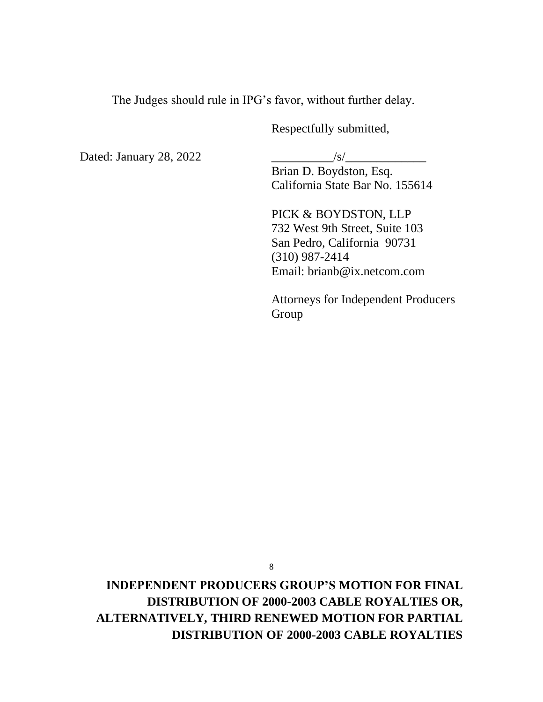The Judges should rule in IPG's favor, without further delay.

Respectfully submitted,

Dated: January 28, 2022 \_\_\_\_\_\_\_\_\_\_/s/\_\_\_\_\_\_\_\_\_\_\_\_\_

Brian D. Boydston, Esq. California State Bar No. 155614

PICK & BOYDSTON, LLP 732 West 9th Street, Suite 103 San Pedro, California 90731 (310) 987-2414 Email: brianb@ix.netcom.com

Attorneys for Independent Producers Group

8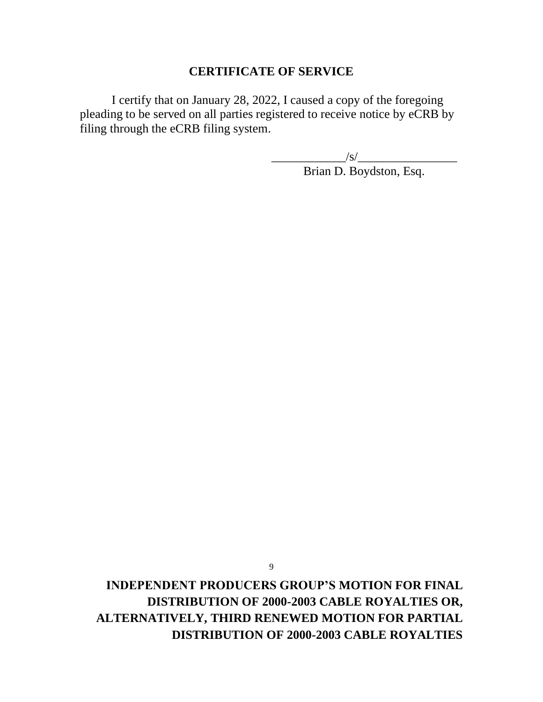#### **CERTIFICATE OF SERVICE**

I certify that on January 28, 2022, I caused a copy of the foregoing pleading to be served on all parties registered to receive notice by eCRB by filing through the eCRB filing system.

\_\_\_\_\_\_\_\_\_\_\_\_/s/\_\_\_\_\_\_\_\_\_\_\_\_\_\_\_\_

Brian D. Boydston, Esq.

**INDEPENDENT PRODUCERS GROUP'S MOTION FOR FINAL DISTRIBUTION OF 2000-2003 CABLE ROYALTIES OR, ALTERNATIVELY, THIRD RENEWED MOTION FOR PARTIAL DISTRIBUTION OF 2000-2003 CABLE ROYALTIES**

9